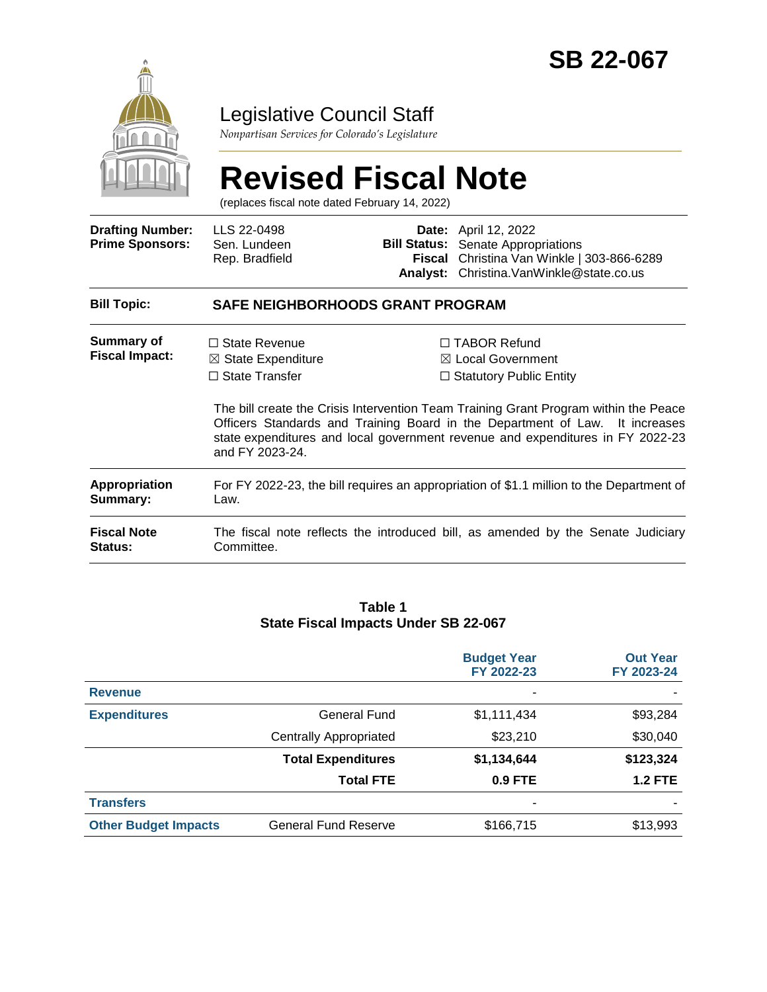

### Legislative Council Staff

*Nonpartisan Services for Colorado's Legislature*

# **Revised Fiscal Note**

(replaces fiscal note dated February 14, 2022)

| <b>Drafting Number:</b><br><b>Prime Sponsors:</b> | LLS 22-0498<br>Sen. Lundeen<br>Rep. Bradfield                                                                                                                                                                                                                             | Fiscal<br>Analyst: | <b>Date:</b> April 12, 2022<br><b>Bill Status:</b> Senate Appropriations<br>Christina Van Winkle   303-866-6289<br>Christina. VanWinkle@state.co.us |  |  |
|---------------------------------------------------|---------------------------------------------------------------------------------------------------------------------------------------------------------------------------------------------------------------------------------------------------------------------------|--------------------|-----------------------------------------------------------------------------------------------------------------------------------------------------|--|--|
| <b>Bill Topic:</b>                                | <b>SAFE NEIGHBORHOODS GRANT PROGRAM</b>                                                                                                                                                                                                                                   |                    |                                                                                                                                                     |  |  |
| <b>Summary of</b><br><b>Fiscal Impact:</b>        | $\Box$ State Revenue<br>$\boxtimes$ State Expenditure<br>$\Box$ State Transfer                                                                                                                                                                                            |                    | $\Box$ TABOR Refund<br>$\boxtimes$ Local Government<br>$\Box$ Statutory Public Entity                                                               |  |  |
|                                                   | The bill create the Crisis Intervention Team Training Grant Program within the Peace<br>Officers Standards and Training Board in the Department of Law. It increases<br>state expenditures and local government revenue and expenditures in FY 2022-23<br>and FY 2023-24. |                    |                                                                                                                                                     |  |  |
| Appropriation<br>Summary:                         | For FY 2022-23, the bill requires an appropriation of \$1.1 million to the Department of<br>Law.                                                                                                                                                                          |                    |                                                                                                                                                     |  |  |
| <b>Fiscal Note</b><br><b>Status:</b>              | The fiscal note reflects the introduced bill, as amended by the Senate Judiciary<br>Committee.                                                                                                                                                                            |                    |                                                                                                                                                     |  |  |

#### **Table 1 State Fiscal Impacts Under SB 22-067**

|                             |                               | <b>Budget Year</b><br>FY 2022-23 | <b>Out Year</b><br>FY 2023-24 |
|-----------------------------|-------------------------------|----------------------------------|-------------------------------|
| <b>Revenue</b>              |                               |                                  |                               |
| <b>Expenditures</b>         | General Fund                  | \$1,111,434                      | \$93,284                      |
|                             | <b>Centrally Appropriated</b> | \$23,210                         | \$30,040                      |
|                             | <b>Total Expenditures</b>     | \$1,134,644                      | \$123,324                     |
|                             | <b>Total FTE</b>              | <b>0.9 FTE</b>                   | <b>1.2 FTE</b>                |
| <b>Transfers</b>            |                               |                                  |                               |
| <b>Other Budget Impacts</b> | <b>General Fund Reserve</b>   | \$166,715                        | \$13,993                      |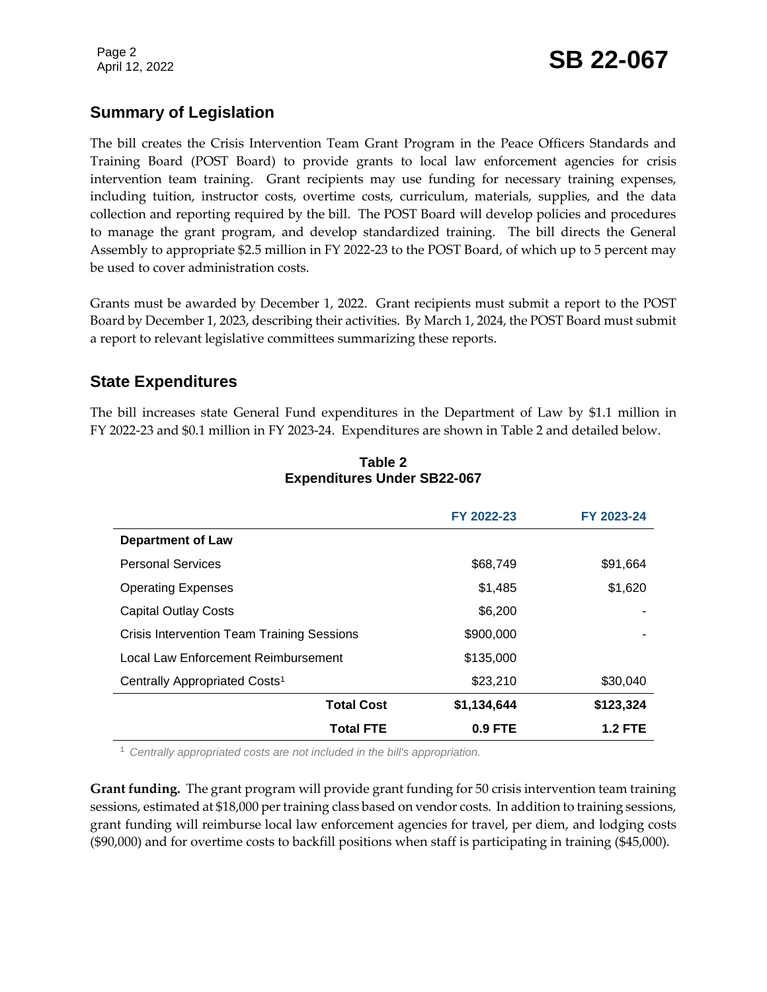Page 2

## Page 2<br>April 12, 2022 **SB 22-067**

#### **Summary of Legislation**

The bill creates the Crisis Intervention Team Grant Program in the Peace Officers Standards and Training Board (POST Board) to provide grants to local law enforcement agencies for crisis intervention team training. Grant recipients may use funding for necessary training expenses, including tuition, instructor costs, overtime costs, curriculum, materials, supplies, and the data collection and reporting required by the bill. The POST Board will develop policies and procedures to manage the grant program, and develop standardized training. The bill directs the General Assembly to appropriate \$2.5 million in FY 2022-23 to the POST Board, of which up to 5 percent may be used to cover administration costs.

Grants must be awarded by December 1, 2022. Grant recipients must submit a report to the POST Board by December 1, 2023, describing their activities. By March 1, 2024, the POST Board must submit a report to relevant legislative committees summarizing these reports.

#### **State Expenditures**

The bill increases state General Fund expenditures in the Department of Law by \$1.1 million in FY 2022-23 and \$0.1 million in FY 2023-24. Expenditures are shown in Table 2 and detailed below.

|                                                   | FY 2022-23  | FY 2023-24     |
|---------------------------------------------------|-------------|----------------|
| <b>Department of Law</b>                          |             |                |
| <b>Personal Services</b>                          | \$68,749    | \$91,664       |
| <b>Operating Expenses</b>                         | \$1,485     | \$1,620        |
| <b>Capital Outlay Costs</b>                       | \$6,200     |                |
| <b>Crisis Intervention Team Training Sessions</b> | \$900,000   |                |
| Local Law Enforcement Reimbursement               | \$135,000   |                |
| Centrally Appropriated Costs <sup>1</sup>         | \$23,210    | \$30,040       |
| <b>Total Cost</b>                                 | \$1,134,644 | \$123,324      |
| <b>Total FTE</b>                                  | $0.9$ FTE   | <b>1.2 FTE</b> |

#### **Table 2 Expenditures Under SB22-067**

<sup>1</sup> *Centrally appropriated costs are not included in the bill's appropriation.*

**Grant funding.** The grant program will provide grant funding for 50 crisis intervention team training sessions, estimated at \$18,000 per training class based on vendor costs. In addition to training sessions, grant funding will reimburse local law enforcement agencies for travel, per diem, and lodging costs (\$90,000) and for overtime costs to backfill positions when staff is participating in training (\$45,000).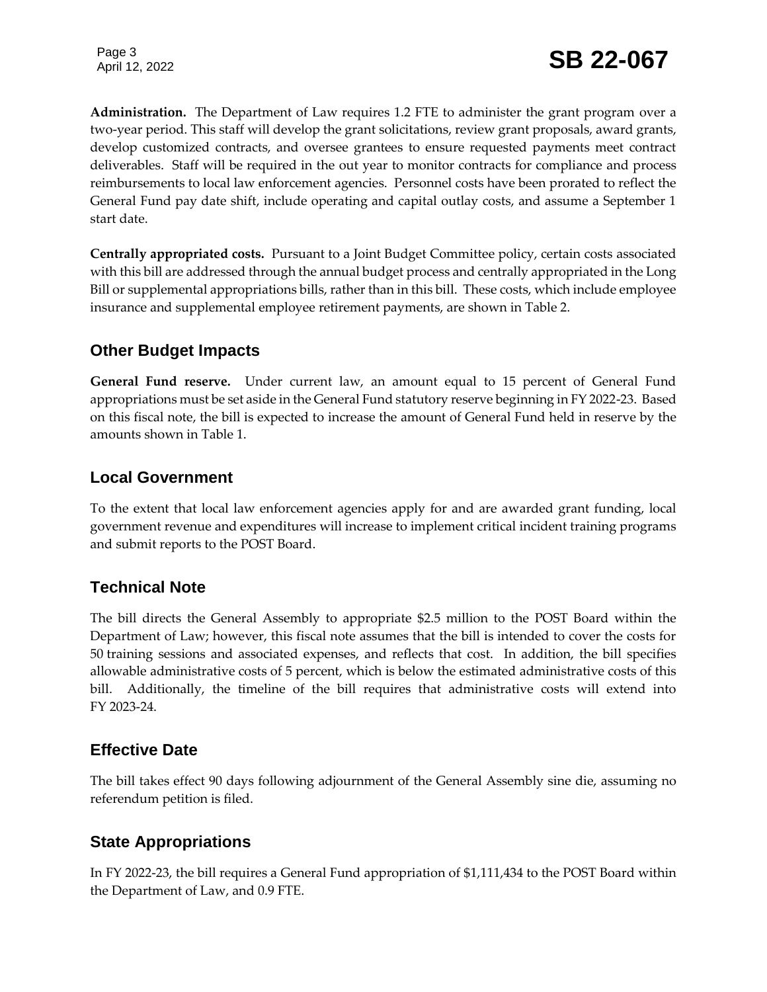Page 3

**Administration.** The Department of Law requires 1.2 FTE to administer the grant program over a two-year period. This staff will develop the grant solicitations, review grant proposals, award grants, develop customized contracts, and oversee grantees to ensure requested payments meet contract deliverables. Staff will be required in the out year to monitor contracts for compliance and process reimbursements to local law enforcement agencies. Personnel costs have been prorated to reflect the General Fund pay date shift, include operating and capital outlay costs, and assume a September 1 start date.

**Centrally appropriated costs.** Pursuant to a Joint Budget Committee policy, certain costs associated with this bill are addressed through the annual budget process and centrally appropriated in the Long Bill or supplemental appropriations bills, rather than in this bill. These costs, which include employee insurance and supplemental employee retirement payments, are shown in Table 2.

#### **Other Budget Impacts**

**General Fund reserve.** Under current law, an amount equal to 15 percent of General Fund appropriations must be set aside in the General Fund statutory reserve beginning in FY 2022-23. Based on this fiscal note, the bill is expected to increase the amount of General Fund held in reserve by the amounts shown in Table 1.

#### **Local Government**

To the extent that local law enforcement agencies apply for and are awarded grant funding, local government revenue and expenditures will increase to implement critical incident training programs and submit reports to the POST Board.

#### **Technical Note**

The bill directs the General Assembly to appropriate \$2.5 million to the POST Board within the Department of Law; however, this fiscal note assumes that the bill is intended to cover the costs for 50 training sessions and associated expenses, and reflects that cost. In addition, the bill specifies allowable administrative costs of 5 percent, which is below the estimated administrative costs of this bill. Additionally, the timeline of the bill requires that administrative costs will extend into FY 2023-24.

#### **Effective Date**

The bill takes effect 90 days following adjournment of the General Assembly sine die, assuming no referendum petition is filed.

#### **State Appropriations**

In FY 2022-23, the bill requires a General Fund appropriation of \$1,111,434 to the POST Board within the Department of Law, and 0.9 FTE.